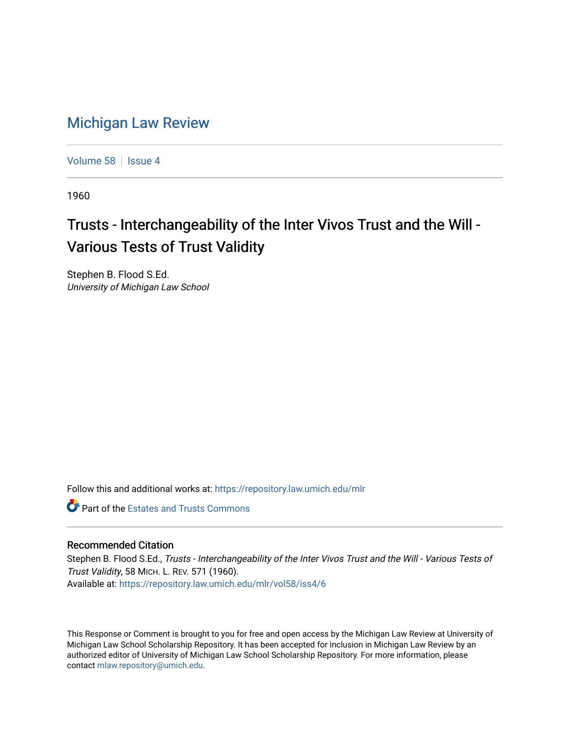# [Michigan Law Review](https://repository.law.umich.edu/mlr)

[Volume 58](https://repository.law.umich.edu/mlr/vol58) | [Issue 4](https://repository.law.umich.edu/mlr/vol58/iss4)

1960

# Trusts - Interchangeability of the Inter Vivos Trust and the Will - Various Tests of Trust Validity

Stephen B. Flood S.Ed. University of Michigan Law School

Follow this and additional works at: [https://repository.law.umich.edu/mlr](https://repository.law.umich.edu/mlr?utm_source=repository.law.umich.edu%2Fmlr%2Fvol58%2Fiss4%2F6&utm_medium=PDF&utm_campaign=PDFCoverPages) 

**C** Part of the Estates and Trusts Commons

#### Recommended Citation

Stephen B. Flood S.Ed., Trusts - Interchangeability of the Inter Vivos Trust and the Will - Various Tests of Trust Validity, 58 MICH. L. REV. 571 (1960). Available at: [https://repository.law.umich.edu/mlr/vol58/iss4/6](https://repository.law.umich.edu/mlr/vol58/iss4/6?utm_source=repository.law.umich.edu%2Fmlr%2Fvol58%2Fiss4%2F6&utm_medium=PDF&utm_campaign=PDFCoverPages)

This Response or Comment is brought to you for free and open access by the Michigan Law Review at University of Michigan Law School Scholarship Repository. It has been accepted for inclusion in Michigan Law Review by an authorized editor of University of Michigan Law School Scholarship Repository. For more information, please contact [mlaw.repository@umich.edu](mailto:mlaw.repository@umich.edu).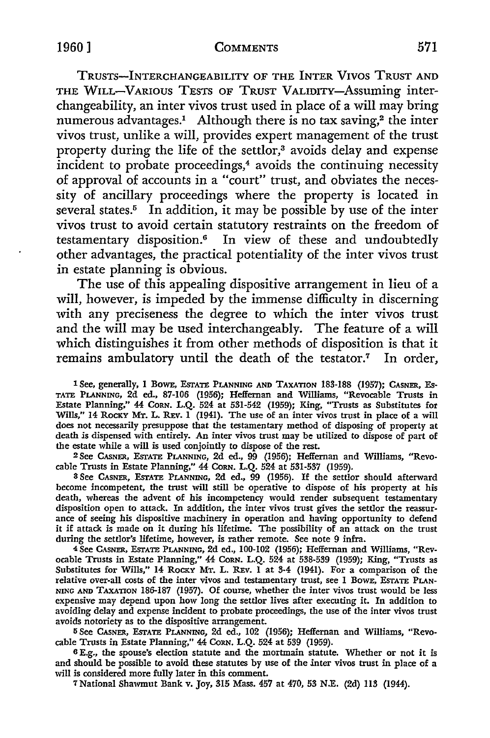TRUSTS-INTERCHANGEABILITY OF THE INTER Vivos TRUST AND THE WILL-VARIOUS TESTS OF TRUST VALIDITY-Assuming interchangeability, an inter vivos trust used in place of a will may bring numerous advantages.<sup>1</sup> Although there is no tax saving,<sup>2</sup> the inter vivos trust, unlike a will, provides expert management of the trust property during the life of the settlor,<sup>3</sup> avoids delay and expense incident to probate proceedings,<sup>4</sup> avoids the continuing necessity of approval of accounts in a "court" trust, and obviates the necessity of ancillary proceedings where the property is located in several states.<sup>5</sup> In addition, it may be possible by use of the inter vivos trust to avoid certain statutory restraints on the freedom of testamentary disposition.<sup>6</sup> In view of these and undoubtedly other advantages, the practical potentiality of the inter vivos trust in estate planning is obvious.

The use of this appealing dispositive arrangement in lieu of a will, however, is impeded by the immense difficulty in discerning with any preciseness the degree to which the inter vivos trust and the will may be used interchangeably. The feature of a will which distinguishes it from other methods of disposition is that it remains ambulatory until the death of the testator.<sup>7</sup> In order,

**I** See, generally, **1** BowE, **ESTATE PLANNING AND TAXATION 183-188** (1957); **CASNER, Es-TATE PLANNING,** 2d ed., **87-106 (1956);** Heffernan and Williams, "Revocable Trusts in Estate Planning," 44 CORN. **L.Q.** 524 at **531-542 (1959);** King, "Trusts as Substitutes for Wills," 14 RockY Mr. L. REV. 1 (1941). The use of an inter vivos trust in place of a wil does not necessarily presuppose that the testamentary method of disposing of property at death is dispensed with entirely. An inter vivos trust may be utilized to dispose of part of the estate while a will is used conjointly to dispose of the rest. <sup>2</sup> See **CASNER,** ESTATE **PLANNING, 2d** ed., 99 (1956); Heffernan and Williams, "Revo-

cable Trusts in Estate Planning," 44 CoRN. L.Q. 524 at 531-537 (1959).

3 See **CASNER, ESTATE PLANNING, 2d** ed., 99 (1956). If the settlor should afterward become incompetent, the trust will still be operative to dispose of his property at his death, whereas the advent of his incompetency would render subsequent testamentary disposition open to attack. In addition, the inter vivos trust gives the settlor the reassurance of seeing his dispositive machinery in operation and having opportunity to defend it if attack is made on it during his lifetime. The possibility of an attack on the trust during the settlor's lifetime, however, is rather remote. See note 9 infra.

**4** *See* **CASNER,** ESTATE **PLANNING, 2d** ed., 100-102 (1956); Heffernan and Williams, "Revocable Trusts in Estate Planning," 44 CoRN. L.Q. 524 at 538-539 (1959); King, "Trusts as Substitutes for Wills," 14 Rocky Mr. L. Rev. 1 at 3-4 (1941). For a comparison of the relative over-all costs of the inter vivos and testamentary trust, see **I** BowE, **ESTATE PLAN-NING AND** TAXATION 186-187 (1957). Of course, whether the inter vivos trust would be less expensive may depend upon how long the settior lives after executing it. In addition to avoiding delay and expense incident to probate proceedings, the use of the inter vivos trust avoids notoriety as to the dispositive arrangement.

5 See **CASNER,** ESTATE **PLANNING,** 2d ed., 102 (1956); Heffernan and Williams, "Revocable Trusts in Estate Planning," 44 CoRN. **L.Q.** 524 at **539 (1959).**

**6 E.g.,** the spouse's election statute and the mortmain statute. Whether or not it is and should be possible to avoid these statutes **by** use of the inter vivos trust in place of a will is considered more fully later in this comment.

**7** National Shawmut Bank v. Joy, **315** Mass. 457 at 470, **53 N.E. (2d) 113** (1944).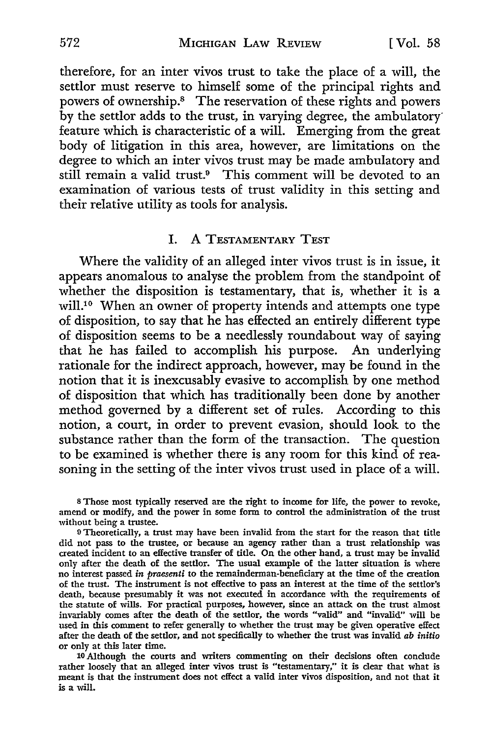therefore, for an inter vivos trust to take the place of a will, the settlor must reserve to himself some of the principal rights and powers of ownership.8 The reservation of these rights and powers by the settlor adds to the trust, in varying degree, the ambulatory' feature which is characteristic of a will. Emerging from the great body of litigation in this area, however, are limitations on the degree to which an inter vivos trust may be made ambulatory and still remain a valid trust.<sup>9</sup> This comment will be devoted to an examination of various tests of trust validity in this setting and their relative utility as tools for analysis.

#### I. A **TESTAMENTARY TEST**

Where the validity of an alleged inter vivos trust is in issue, it appears anomalous to analyse the problem from the standpoint of whether the disposition is testamentary, that is, whether it is a will.<sup>10</sup> When an owner of property intends and attempts one type of disposition, to say that he has effected an entirely different type of disposition seems to be a needlessly roundabout way of saying that he has failed to accomplish his purpose. An underlying rationale for the indirect approach, however, may be found in the notion that it is inexcusably evasive to accomplish by one method of disposition that which has traditionally been done by another method governed by a different set of rules. According to this notion, a court, in order to prevent evasion, should look to the substance rather than the form of the transaction. The question to be examined is whether there is any room for this kind of reasoning in the setting of the inter vivos trust used in place of a will.

**<sup>8</sup>**Those most typically reserved are the right to income for life, the power to revoke, amend or modify, and the power in some form to control the administration of the trust without being a trustee.

**9** Theoretically, a trust may have been invalid from the start for the reason that title did not pass to the trustee, or because an agency rather than a trust relationship was created incident to an effective transfer of title. On the other hand, a trust may be invalid only after the death of the settlor. The usual example of the latter situation is where no interest passed *in praesenti* to the remainderman-beneficiary at the time of the creation of the trust. The instrument is not effective to pass an interest at the time of the settlor's death, because presumably it was not executed in accordance with the requirements of the statute of wills. For practical purposes, however, since an attack on the trust almost invariably comes after the death of the settlor, the words "valid" and "invalid" will be used in this comment to refer generally to whether the trust may be given operative effect after the death of the settlor, and not specifically to whether the trust was invalid *ab initio* or only at this later time.

**10** Although the courts and writers commenting on their decisions often conclude rather loosely that an alleged inter vivos trust is "testamentary," it is clear that what is meant is that the instrument does not effect a valid inter vivos disposition, and not that it is a will.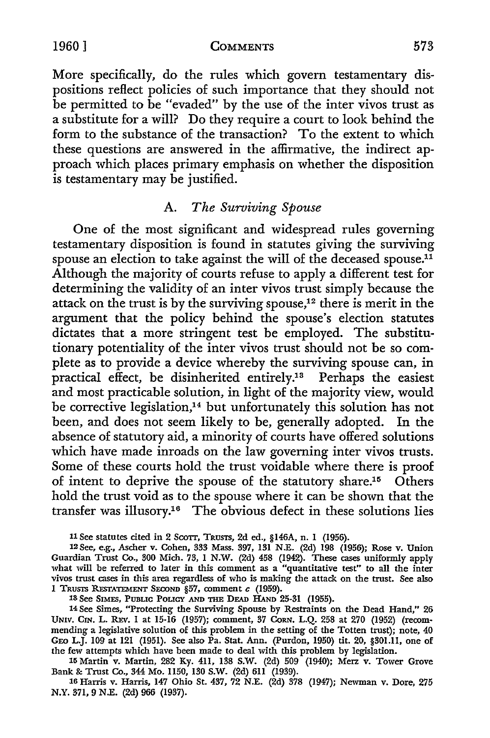More specifically, do the rules which govern testamentary dispositions reflect policies of such importance that they should not be permitted to be "evaded" by the use of the inter vivos trust as a substitute for a will? Do they require a court to look behind the form to the substance of the transaction? To the extent to which these questions are answered in the affirmative, the indirect approach which places primary emphasis on whether the disposition is testamentary may be justified.

## A. *The Surviving Spouse*

One of the most significant and widespread rules governing testamentary disposition is found in statutes giving the surviving spouse an election to take against the will of the deceased spouse.<sup>1</sup> Although the majority of courts refuse to apply a different test for determining the validity of an inter vivos trust simply because the attack on the trust is by the surviving spouse,<sup>12</sup> there is merit in the argument that the policy behind the spouse's election statutes dictates that a more stringent test be employed. The substitutionary potentiality of the inter vivos trust should not be so complete as to provide a device whereby the surviving spouse can, in practical effect, be disinherited entirely.13 Perhaps the easiest and most practicable solution, in light of the majority view, would be corrective legislation,<sup>14</sup> but unfortunately this solution has not been, and does not seem likely to be, generally adopted. In the absence of statutory aid, a minority of courts have offered solutions which have made inroads on the law governing inter vivos trusts. Some of these courts hold the trust voidable where there is proof of intent to deprive the spouse of the statutory share.<sup>15</sup> Others hold the trust void as to the spouse where it can be shown that the transfer was illusory.16 The obvious defect in these solutions lies

**<sup>11</sup>See** statutes **cited in** 2 ScoTr, TRusTS, **2d** ed., §146A, **n. 1 (1956).**

12See, **e.g.,** Ascher **v.** Cohen, **333 Mass. 397, 131 N.E. (2d) 198 (1956); Rose v. Union** Guardian **Trust Co., 300 Mich. 73, 1 N.W. (2d) 458** (1942). These cases uniformly apply what will be referred **to** later in this comment as a "quantitative test" **to** all the inter vivos **trust** cases in this **area** regardless of who is making the attack on **the trust.** See also **I** TRUSTS **RESTATEMENT SECOND §57, comment c** (1959).

**18** See SIMEs, PUBLIC POLICY **AND THE DEAD HAND 25-31 (1955).**

**14** See Simes, "Protecting the Surviving Spouse **by** Restraints on the Dead Hand," **26 UNIV.** CIN. L. **REv.** 1 at **15-16 (1957);** comment, **37** CORN. **L.Q. 258** at **270 (1952)** (recommending a legislative solution of this problem in the setting of the Totten trust); note, 40 **GEo** L.J. **109** at 121 (1951). See also Pa. Stat. Ann. (Purdon, **1950)** tit. 20, §301.11, one of the few attempts which have been made to deal with this problem **by** legislation.

**<sup>15</sup>**Martin v. Martin, 282 **Ky.** 411, **138** S.W. (2d) **509** (1940); Merz v. Tower Grove Bank & Trust Co., 344 Mo. 1150, **130** S.W. (2d) **611 (1939).**

**<sup>16</sup>**Harris **v.** Harris, 147 Ohio **St.** 437, **72 N.E. (2d) 378** (1947); **Newman** v. Dore, **275 N.Y. 371, 9 N.E. (2d) 966 (1937).**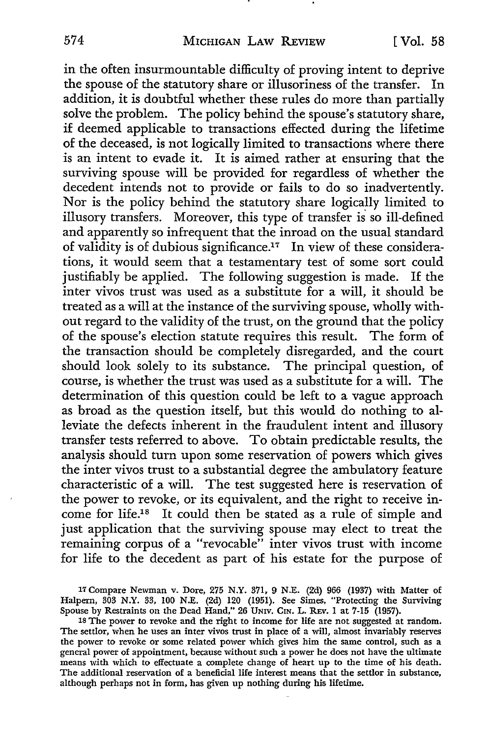in the often insurmountable difficulty of proving intent to deprive the spouse of the statutory share or illusoriness of the transfer. In addition, it is doubtful whether these rules do more than partially solve the problem. The policy behind the spouse's statutory share, if deemed applicable to transactions effected during the lifetime of the deceased, is not logically limited to transactions where there is an intent to evade it. It is aimed rather at ensuring that the surviving spouse will be provided for regardless of whether the decedent intends not to provide or fails to do so inadvertently. Nor is the policy behind the statutory share logically limited to illusory transfers. Moreover, this type of transfer is so ill-defined and apparently so infrequent that the inroad on the usual standard of validity is of dubious significance.<sup>17</sup> In view of these considerations, it would seem that a testamentary test of some sort could justifiably be applied. The following suggestion is made. If the inter vivos trust was used as a substitute for a will, it should be treated as a will at the instance of the surviving spouse, wholly without regard to the validity of the trust, on the ground that the policy of the spouse's election statute requires this result. The form of the transaction should be completely disregarded, and the court should look solely to its substance. The principal question, of course, is whether the trust was used as a substitute for a will. The determination of this question could be left to a vague approach as broad as the question itself, but this would do nothing to alleviate the defects inherent in the fraudulent intent and illusory transfer tests referred to above. To obtain predictable results, the analysis should turn upon some reservation of powers which gives the inter vivos trust to a substantial degree the ambulatory feature characteristic of a will. The test suggested here is reservation of the power to revoke, or its equivalent, and the right to receive income for life.'8 It could then be stated as a rule of simple and just application that the surviving spouse may elect to treat the remaining corpus of a "revocable" inter vivos trust with income for life to the decedent as part of his estate for the purpose of

**<sup>17</sup>**Compare Newman **v.** Dore, **275 N.Y. 371, 9 N.E. (2d) 966 (1937)** with **Matter of Halpern, 303 N.Y. 33, 100 N.E. (2d) 120 (1951). See Simes, "'Protecting the Surviving Spouse by Restraints on the Dead Hand," 26 UNIv. CIN. L. REv. 1 at 7-15 (1957).**

**<sup>18</sup> The power to revoke and the right to income for life are not suggested at random. The settlor, when he** uses **an inter vivos trust in place of a will, almost invariably reserves the power to revoke or some related power which gives him the same control, such as a general power of appointment, because without** such **a power he does not have the ultimate means** with **which to effectuate** a **complete change of heart up to the time of his death. The additional reservation of a beneficial life interest means** that **the settlor in substance, although perhaps not in form, has given up nothing during his lifetime.**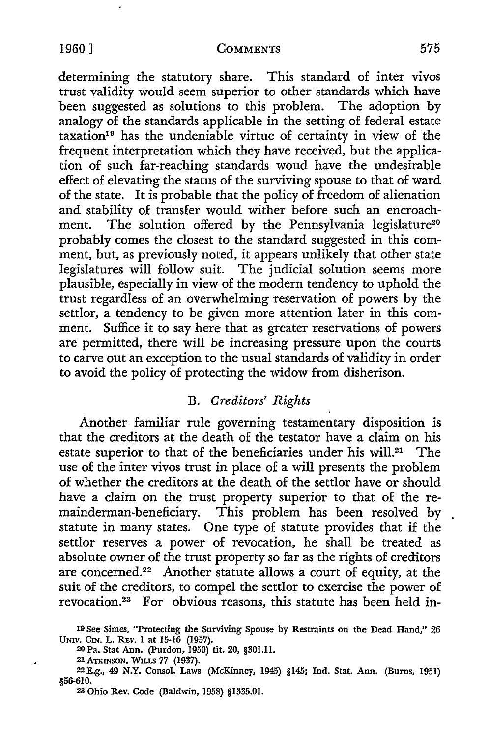determining the statutory share. This standard of inter vivos trust validity would seem superior to other standards which have been suggested as solutions to this problem. The adoption by analogy of the standards applicable in the setting of federal estate  $taxation<sup>19</sup>$  has the undeniable virtue of certainty in view of the frequent interpretation which they have received, but the application of such far-reaching standards woud have the undesirable effect of elevating the status of the surviving spouse to that of ward of the state. It is probable that the policy of freedom of alienation and stability of transfer would wither before such an encroachment. The solution offered by the Pennsylvania legislature<sup>20</sup> probably comes the closest to the standard suggested in this comment, but, as previously noted, it appears unlikely that other state legislatures will follow suit. The judicial solution seems more plausible, especially in view of the modern tendency to uphold the trust regardless of an overwhelming reservation of powers by the settlor, a tendency to be given more attention later in this comment. Suffice it to say here that as greater reservations of powers are permitted, there will be increasing pressure upon the courts to carve out an exception to the usual standards of validity in order to avoid the policy of protecting the widow from disherison.

# *B. Creditors' Rights*

Another familiar rule governing testamentary disposition is that the creditors at the death of the testator have a claim on his estate superior to that of the beneficiaries under his will.<sup>21</sup> The use of the inter vivos trust in place of a will presents the problem of whether the creditors at the death of the settlor have or should have a claim on the trust property superior to that of the remainderman-beneficiary. This problem has been resolved by statute in many states. One type of statute provides that if the settlor reserves a power of revocation, he shall be treated as absolute owner of the trust property so far as the rights of creditors are concerned.<sup>22</sup> Another statute allows a court of equity, at the suit of the creditors, to compel the settlor to exercise the power of revocation.23 For obvious reasons, this statute has been held in-

**<sup>19</sup>** See Simes, "Protecting the Surviving Spouse **by** Restraints **on** the Dead Hand," **26 UNIV. CIN. L. REV. 1 at 15-16 (1957). 20 Pa. Stat Ann. (Purdon, 1950) tit. 20, §301.11.** 

<sup>21</sup> ATKINSON, WILLS 77 (1937).

**<sup>22</sup>E.g.,** 49 N.Y. Consol. Laws (McKinney, 1945) §145; Ind. Stat. Ann. (Bums, **1951) §56-610.**

**<sup>23</sup>** Ohio Rev. Code (Baldwin, **1958) §1335.01.**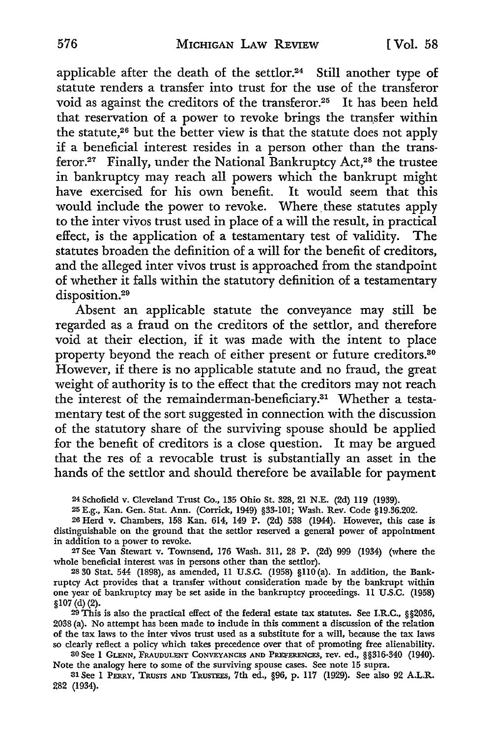applicable after the death of the settlor.<sup>24</sup> Still another type of statute renders a transfer into trust for the use of the transferor void as against the creditors of the transferor.25 It has been held that reservation of a power to revoke brings the transfer within the statute,26 but the better view is that the statute does not apply if a beneficial interest resides in a person other than the transferor.<sup>27</sup> Finally, under the National Bankruptcy Act,<sup>28</sup> the trustee in bankruptcy may reach all powers which the bankrupt might have exercised for his own benefit. It would seem that this would include the power to revoke. Where these statutes apply to the inter vivos trust used in place of a will the result, in practical effect, is the application of a testamentary test of validity. The statutes broaden the definition of a will for the benefit of creditors, and the alleged inter vivos trust is approached from the standpoint of whether it falls within the statutory definition of a testamentary disposition.29

Absent an applicable statute the conveyance may still be regarded as a fraud on the creditors of the settlor, and therefore void at their election, if it was made with the intent to place property beyond the reach of either present or future creditors.30 However, if there is no applicable statute and no fraud, the great weight of authority is to the effect that the creditors may not reach the interest of the remainderman-beneficiary.<sup>31</sup> Whether a testamentary test of the sort suggested in connection with the discussion of the statutory share of the surviving spouse should be applied for the benefit of creditors is a dose question. It may be argued that the res of a revocable trust is substantially an asset in the hands of the settlor and should therefore be available for payment

**24** Schofield v. Cleveland Trust Co., **135** Ohio St. **328,** 21 **N.E. (2d) 119 (1939).**

**25 E.g.,** Kan. Gen. Stat. Ann. (Corrick, 1949) **§33-101;** Wash. Rev. Code **§19.36.202.**

**26** Herd v. Chambers, **158** Kan. 614, 149 P. **(2d) 538** (1944). However, this case is distinguishable on the ground that the settlor reserved a general power of appointmen in addition to a power to revoke.

**27** See Van Stewart v. Townsend, **176** Wash. **311, 28** P. **(2d) 999** (1934) (where the whole beneficial interest was in persons other than the settlor).

**2830** Stat. 544 **(1898),** as amended, **11 U.S.C. (1958) §110(a).** In addition, the Bankruptcy Act provides that a transfer without consideration made **by** the bankrupt within one year of bankruptcy may be set aside in the bankruptcy proceedings. **11 U.S.C. (1958) §107 (d)** (2).

**29** This is also the practical effect of the federal estate tax statutes. See I.R.C., **§ §2036, 2038** (a). No attempt has been made to include in this comment a discussion of the relation of the tax laws to the inter vivos trust used as a substitute for a will, because the tax laws so dearly reflect a policy which takes precedence over that of promoting free alienability.

**80** See **1 GLENN, FRAUDULENT CONVEYANCES AND PREFERENCES,** rev. ed., §§316-340 (1940). Note the analogy here to some of the surviving spouse cases. See note **15** supra.

**31** See **1** PERuY, **TRUSTS AND TRUSTEES,** 7th ed., **§96, p. 117 (1929).** See also **92** A.L.R. **282** (1934).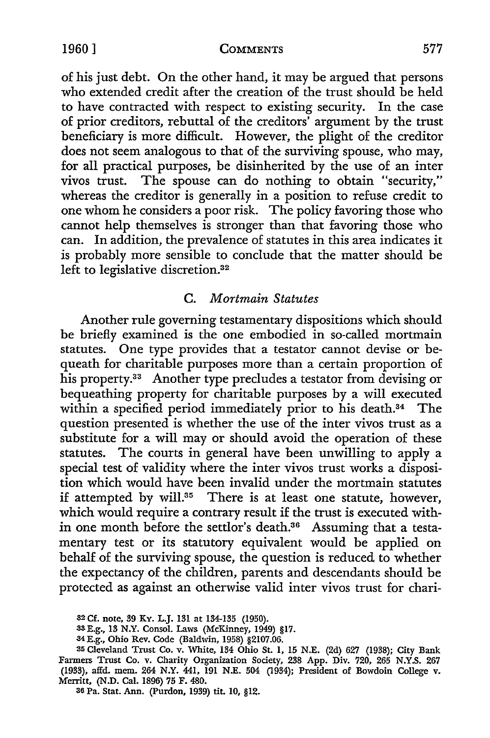of his just debt. On the other hand, it may be argued that persons who extended credit after the creation of the trust should be held to have contracted with respect to existing security. In the case of prior creditors, rebuttal of the creditors' argument by the trust beneficiary is more difficult. However, the plight of the creditor does not seem analogous to that of the surviving spouse, who may, for all practical purposes, be disinherited by the use of an inter vivos trust. The spouse can do nothing to obtain "security," whereas the creditor is generally in a position to refuse credit to one whom he considers a poor risk. The policy favoring those who cannot help themselves is stronger than that favoring those who can. In addition, the prevalence of statutes in this area indicates it is probably more sensible to conclude that the matter should be left to legislative discretion.<sup>32</sup>

## C. *Mortmain Statutes*

Another rule governing testamentary dispositions which should be briefly examined is the one embodied in so-called mortmain statutes. One type provides that a testator cannot devise or bequeath for charitable purposes more than a certain proportion of his property.<sup>33</sup> Another type precludes a testator from devising or bequeathing property for charitable purposes by a will executed within a specified period immediately prior to his death.34 The question presented is whether the use of the inter vivos trust as a substitute for a will may or should avoid the operation of these statutes. The courts in general have been unwilling to apply a special test of validity where the inter vivos trust works a disposition which would have been invalid under the mortmain statutes if attempted by will.<sup>35</sup> There is at least one statute, however, which would require a contrary result if the trust is executed within one month before the settlor's death.36 Assuming that a testamentary test or its statutory equivalent would be applied on behalf of the surviving spouse, the question is reduced to whether the expectancy of the children, parents and descendants should be protected as against an otherwise valid inter vivos trust for chari-

**36** Pa. Stat. **Ann.** (Purdon, **1939) tit. 10,** §12.

**<sup>82</sup> Cf.** note, **89 Ky. L.J. 181** at 134-135 **(1950).**

**<sup>33</sup>E.g., 13** N.Y. Consol. Laws (McKinney, 1949) **§17.**

**<sup>34</sup> E.g.,** Ohio Rev. Code (Baldwin, **1958) §2107.06.**

**<sup>35</sup>** Cleveland Trust **Co.** v. White, **134** Ohio St. **1, 15 N.E. (2d) 627 (1938); City** Bank Farmers Trust **Co.** v. Charity Organization Society, **238 App.** Div. **720, 265 N.Y.S. 267 (1933),** affd. mem. 264 N.Y. 441, **191 N.E.** 504 (1934); President of Bowdoin College v. Merritt, **(N.D.** Cal. **1896) 75 F.** 480.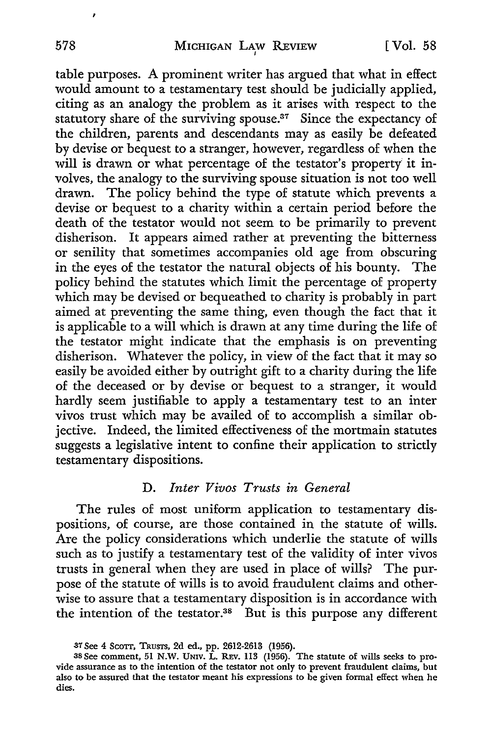table purposes. A prominent writer has argued that what in effect would amount to a testamentary test should be judicially applied, citing as an analogy the problem as it arises with respect to the statutory share of the surviving spouse.<sup>37</sup> Since the expectancy of the children, parents and descendants may as easily be defeated by devise or bequest to a stranger, however, regardless of when the will is drawn or what percentage of the testator's property it involves, the analogy to the surviving spouse situation is not too well drawn. The policy behind the type of statute which prevents a devise or bequest to a charity within a certain period before the death of the testator would not seem to be primarily to prevent disherison. It appears aimed rather at preventing the bitterness or senility that sometimes accompanies old age from obscuring in the eyes of the testator the natural objects of his bounty. The policy behind the statutes which limit the percentage of property which may be devised or bequeathed to charity is probably in part aimed at preventing the same thing, even though the fact that it is applicable to a will which is drawn at any time during the life of the testator might indicate that the emphasis is on preventing disherison. Whatever the policy, in view of the fact that it may so easily be avoided either by outright gift to a charity during the life of the deceased or by devise or bequest to a stranger, it would hardly seem justifiable to apply a testamentary test to an inter vivos trust which may be availed of to accomplish a similar objective. Indeed, the limited effectiveness of the mortmain statutes suggests a legislative intent to confine their application to strictly testamentary dispositions.

## **D.** *Inter Vivos Trusts in General*

The rules of most uniform application to testamentary dispositions, of course, are those contained in the statute of wills. Are the policy considerations which underlie the statute of wills such as to justify a testamentary test of the validity of inter vivos trusts in general when they are used in place of wills? The purpose of the statute of wills is to avoid fraudulent claims and otherwise to assure that a testamentary disposition is in accordance with the intention of the testator.<sup>38</sup> But is this purpose any different

**<sup>37</sup>** See **4 ScoTT,** TRUSTS, **2d** ed., **pp. 2612-2613 (1956).**

**<sup>3</sup>s** See comment, **51** N.W. UNIV. **L. Rxv. 113 (1956).** The statute of **wills** seeks to provide assurance as to the intention of the testator **not** only to prevent fraudulent claims, but also **to** be assured that the testator meant **his** expressions to be given formal effect when he dies.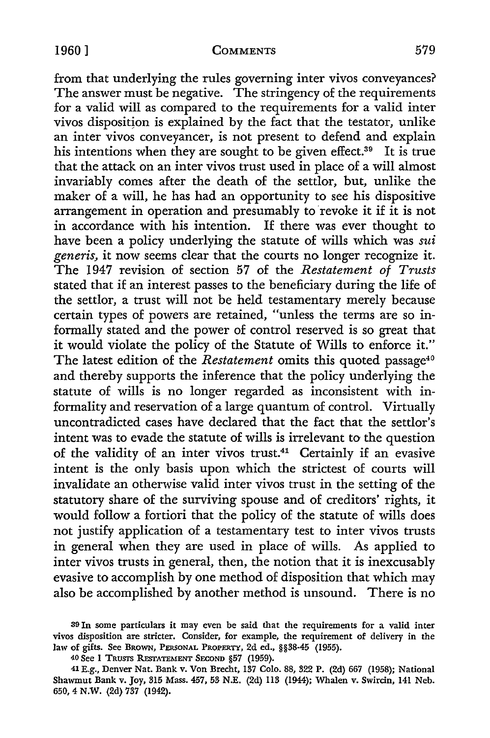#### COMMENTS **1960] 579**

from that underlying the rules governing inter vivos conveyances? The answer must be negative. The stringency of the requirements for a valid will as compared to the requirements for a valid inter vivos disposition is explained by the fact that the testator, unlike an inter vivos conveyancer, is not present to defend and explain his intentions when they are sought to be given effect.<sup>39</sup> It is true that the attack on an inter vivos trust used in place of a will almost invariably comes after the death of the settlor, but, unlike the maker of a will, he has had an opportunity to see his dispositive arrangement in operation and presumably to revoke it if it is not in accordance with his intention. If there was ever thought to have been a policy underlying the statute of wills which was *sui generis,* it now seems clear that the courts no longer recognize it. The 1947 revision of section 57 of the *Restatement of Trusts* stated that if an interest passes to the beneficiary during the life of the settlor, a trust will not be held testamentary merely because certain types of powers are retained, "unless the terms are so informally stated and the power of control reserved is so great that it would violate the policy of the Statute of Wills to enforce it." The latest edition of the *Restatement* omits this quoted passage<sup>40</sup> and thereby supports the inference that the policy underlying the statute of wills is no longer regarded as inconsistent with informality and reservation of a large quantum of control. Virtually uncontradicted cases have declared that the fact that the settlor's intent was to evade the statute of wills is irrelevant to the question of the validity of an inter vivos trust.<sup>41</sup> Certainly if an evasive intent is the only basis upon which the strictest of courts will invalidate an otherwise valid inter vivos trust in the setting of the statutory share of the surviving spouse and of creditors' rights, it would follow a fortiori that the policy of the statute of wills does not justify application of a testamentary test to inter vivos trusts in general when they are used in place of wills. As applied to inter vivos trusts in general, then, the notion that it is inexcusably evasive to accomplish by one method of disposition that which may also be accomplished by another method is unsound. There is no

**<sup>3</sup> 9 In** some particulars it may **even** be said that the requirements **for** a valid inter vivos disposition are stricter. Consider, **for** example, the requirement **of** delivery in the law of gifts. See BROWN, **PERSONAL PROPERTY, 2d** ed., **§§38-45 (1955).**

**<sup>40</sup> See** I **TRusTs RESTATEMENT SECOND §57 (1959).**

<sup>41</sup> **E.g.,** Denver Nat. Bank v. **Von** Brecht, **137** Colo. **88, 322 P. (2d) 667 (1958);** National Shawmut Bank v. Joy, **315** Mass. **457, 53 N.E. (2d) 113 (1944);** Whalen v. **Swircin,** 141 **Neb. 650,** 4 N.W. **(2d) 737 (1942).**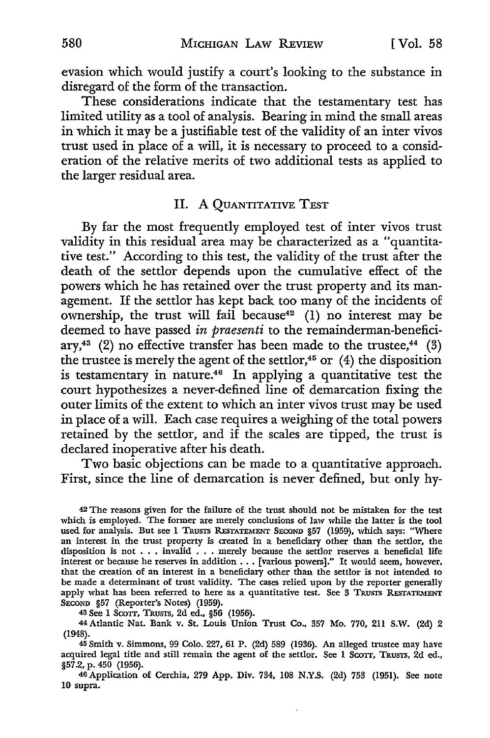evasion which would justify a court's looking to the substance in disregard of the form of the transaction.

These considerations indicate that the testamentary test has limited utility as a tool of analysis. Bearing in mind the small areas in which it may be a justifiable test of the validity of an inter vivos trust used in place of a will, it is necessary to proceed to a consideration of the relative merits of two additional tests as applied to the larger residual area.

## II. **A** QUANTITATIVE **TEST**

**By** far the most frequently employed test of inter vivos trust validity in this residual area may be characterized as a "quantitative test." According to this test, the validity of the trust after the death of the settlor depends upon the cumulative effect of the powers which he has retained over the trust property and its management. **If** the settlor has kept back too many of the incidents of ownership, the trust will fail because42 **(1)** no interest may be deemed to have passed *in praesenti* to the remainderman-beneficiary, $43$  (2) no effective transfer has been made to the trustee, $44$  (3) the trustee is merely the agent of the settlor, $45$  or (4) the disposition is testamentary in nature.<sup>46</sup> In applying a quantitative test the court hypothesizes a never-defined line of demarcation fixing the outer limits of the extent to which an inter vivos trust may be used in place of a will. Each case requires a weighing of the total powers retained **by** the settlor, and if the scales are tipped, the trust is declared inoperative after his death.

Two basic objections can be made to a quantitative approach. First, since the line of demarcation is never defined, but only **hy-**

**42** The reasons given for the failure of the trust should not be mistaken for the test which is employed. The former are merely conclusions of law while the latter is the tool used for analysis. But see 1 TRUSTS RESTATEMENT SECOND §57 (1959), which says: "Where an interest in the trust property is created in a beneficiary other than the settlor, the disposition is not **. . .** invalid **. ..**merely because the settlor reserves a beneficial life interest or because he reserves in **addition...** [various powers]." It would seem, however, that the creation of an interest in a beneficiary other than the settlor is not intended to be made a determinant of trust validity. The cases relied upon **by** the reporter generally apply what has been referred to here as a quantitative test. See 3 TRUSTS RESTATEMENT **SECOND §57** (Reporter's Notes) **(1959).**

**43 See 1** Scorr, **Tusrs, 2d** ed., **§56 (1956).**

**44** Atlantic Nat. Bank v. St. Louis Union Trust Co., **357** Mo. **770,** 211 S.W. **(2d)** 2 **(1948).**

**45** Smith v. Simmons, **99** Colo. **227, 61** P. **(2d) 589 (1936).** An alleged trustee may have acquired legal title and still remain the agent of the settlor. See **1** Scorr, **TRUSTS, 2d** ed., **§57.2, p.** 450 **(1956).**

**46** Application of Cerchia, **279 App.** Div. 734, **108 N.Y.S. (2d) 753 (1951).** See note **10** supra.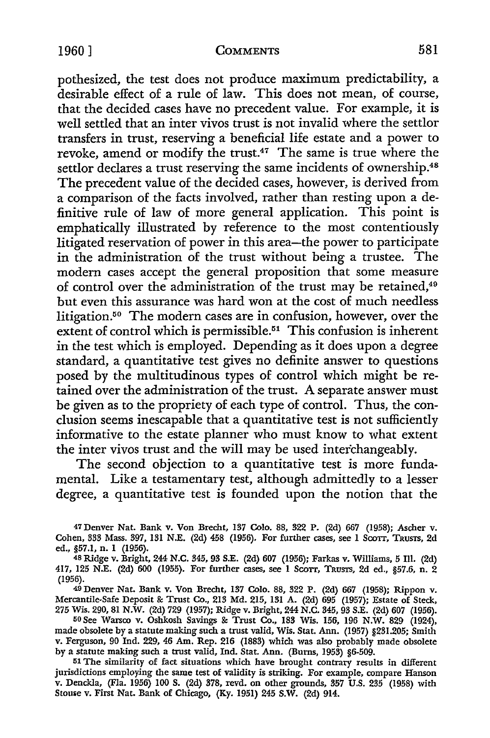pothesized, the test does not produce maximum predictability, a desirable effect of a rule of law. This does not mean, of course, that the decided cases have no precedent value. For example, it is well settled that an inter vivos trust is not invalid where the settlor transfers in trust, reserving a beneficial life estate and a power to revoke, amend or modify the trust.<sup>47</sup> The same is true where the settlor declares a trust reserving the same incidents of ownership.<sup>48</sup> The precedent value of the decided cases, however, is derived from a comparison of the facts involved, rather than resting upon a definitive rule of law of more general application. This point is emphatically illustrated by reference to the most contentiously litigated reservation of power in this area-the power to participate in the administration of the trust without being a trustee. The modern cases accept the general proposition that some measure of control over the administration of the trust may be retained,49 but even this assurance was hard won at the cost of much needless litigation.50 The modern cases are in confusion, however, over the extent of control which is permissible.<sup>51</sup> This confusion is inherent in the test which is employed. Depending as it does upon a degree standard, a quantitative test gives no definite answer to questions posed by the multitudinous types of control which might be retained over the administration of the trust. A separate answer must be given as to the propriety of each type of control. Thus, the conclusion seems inescapable that a quantitative test is not sufficiently informative to the estate planner who must know to what extent the inter vivos trust and the will may be used interchangeably.

The second objection to a quantitative test is more fundamental. Like a testamentary test, although admittedly to a lesser degree, a quantitative test is founded upon the notion that the

**47** Denver Nat. Bank v. Von Brecht, 187 **Colo. 88,** 822 P. (2d) **667 (1958);** Ascher v. Cohen, 333 Mass. 397, 131 N.E. (2d) 458 (1956). For further cases, see 1 Scorr, TRUSTS, 2d ed., **§57.1,** n. **1 (1956).**

**48** Ridge v. Bright, 244 **N.C.** 345, **93 S.E.** (2d) **607 (1956);** Farkas v. Williams, **5 Ill. (2d)** 417, **125 N.E. (2d) 600 (1955).** For further cases, see **1** Sco'rr, **TRUSTS, 2d** ed., **§57.6,** n. 2 **(1956).**

*4* **Denver** Nat. Bank **v.** Von Brecht, **137 Colo. 88,** 522 P. **(2d) 667 (1958);** Rippon v. Mercantile-Safe Deposit & Trust Co., **213 Md. 215, 131 A.** (2d) **695 (1957);** Estate of Steck, **275** Wis. **290, 81** N.W. **(2d) 729 (1957);** Ridge v. Bright, 244 **N.C.** 345, **93 S.E. (2d) 607 (1956).**

**50** See **Warso** v. Oshkosh Savings **&** Trust Co., **183** Wis. **156, 196** N.W. **829** (1924), made obsolete **by** a statute making such a trust valid, Wis. Stat. Ann. **(1957) §231.205;** Smith v. Ferguson, **90 Ind. 229,** 46 Am. Rep. **216 (1883)** which was also probably made obsolete **by** a statute making such a trust valid, **Ind.** Stat. Ann. (Burns, **1953) §6-509.**

**<sup>51</sup>**The similarity of fact situations which have brought contrary results in different jurisdictions employing the same test of validity is striking. For example, compare Hanson v. Denckla, (Fla. **1956) 100** *S.* **(2d) 378,** revd. on other grounds, **857 U.S. 235 (1958)** with Stouse v. First Nat. Bank of Chicago, (Ky. **1951)** 245 S.W. **(2d)** 914.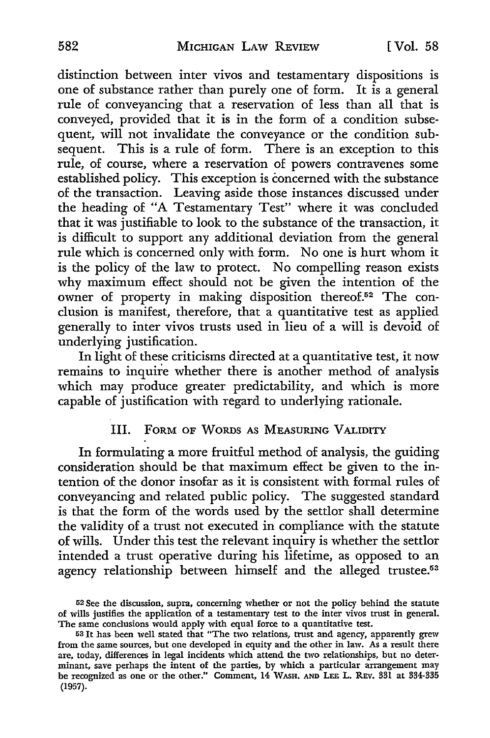distinction between inter vivos and testamentary dispositions is one of substance rather than purely one of form. It is a general rule of conveyancing that a reservation of less than all that is conveyed, provided that it is in the form of a condition subsequent, will not invalidate the conveyance or the condition subsequent. This is a rule of form. There is an exception to this rule, of course, where a reservation of powers contravenes some established policy. This exception is concerned with the substance of the transaction. Leaving aside those instances discussed under the heading of "A Testamentary Test" where it was concluded that it was justifiable to look to the substance of the transaction, it is difficult to support any additional deviation from the general rule which is concerned only with form. No one is hurt whom it is the policy of the law to protect. No compelling reason exists why maximum effect should not be given the intention of the owner of property in making disposition thereof.52 The conclusion is manifest, therefore, that a quantitative test as applied generally to inter vivos trusts used in lieu of a will is devoid of underlying justification.

In light of these criticisms directed at a quantitative test, it now remains to inquire whether there is another method of analysis which may produce greater predictability, and which is more capable of justification with regard to underlying rationale.

## III. FORM OF WORDS AS MEASURING VALIDITY

In formulating a more fruitful method of analysis, the guiding consideration should be that maximum effect be given to the intention of the donor insofar as it is consistent with formal rules of conveyancing and related public policy. The suggested standard is that the form of the words used **by** the settlor shall determine the validity of a trust not executed in compliance with the statute of wills. Under this test the relevant inquiry is whether the settlor intended a trust operative during his lifetime, as opposed to an agency relationship between himself and the alleged trustee.<sup>53</sup>

**<sup>52</sup>** See the discussion, supra, concerning whether or not the policy behind the statute of wills justifies the application of a testamentary test to the inter vivos trust in general. The same conclusions would apply with equal force to a quantitative test.

**<sup>53</sup>**It has been well stated that "The two relations, trust and agency, apparently grew from the same sources, but one developed in equity and the other in law. As a result there are, today, differences in legal incidents which attend the two relationships, but no determinant, save perhaps the intent of the parties, by which a particular arrangement may be recognized as one or the other." Comment, 14 **WASH. AND LE** L. REv. **331** at 334-335 **(1957).**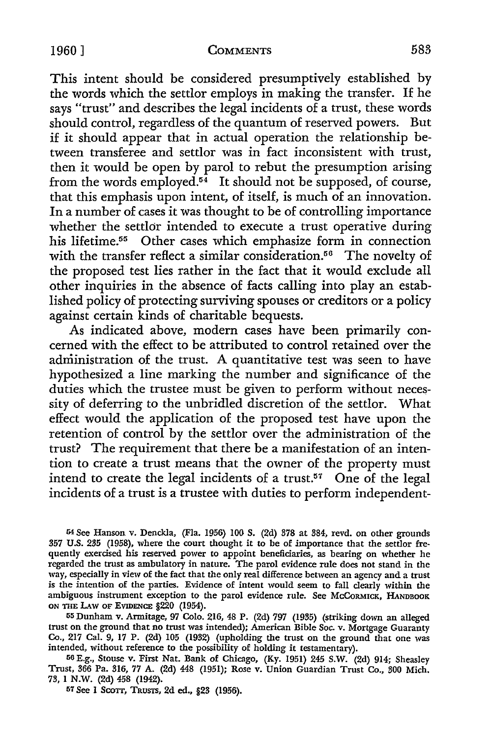#### **1960] COMMENTS 583**

This intent should be considered presumptively established **by** the words which the settlor employs in making the transfer. If he says "trust" and describes the legal incidents of a trust, these words should control, regardless of the quantum of reserved powers. But if it should appear that in actual operation the relationship between transferee and settlor was in fact inconsistent with trust, then it would be open **by** parol to rebut the presumption arising from the words employed.<sup>54</sup> It should not be supposed, of course, that this emphasis upon intent, of itself, is much of an innovation. In a number of cases it was thought to be of controlling importance whether the settlor intended to execute a trust operative during his lifetime.<sup>55</sup> Other cases which emphasize form in connection with the transfer reflect a similar consideration.<sup>56</sup> The novelty of the proposed test lies rather in the fact that it would exclude all other inquiries in the absence of facts calling into play an established policy of protecting surviving spouses or creditors or a policy against certain kinds of charitable bequests.

As indicated above, modern cases have been primarily concerned with the effect to be attributed to control retained over the adniinistration of the trust. **A** quantitative test was seen to have hypothesized a line marking the number and significance of the duties which the trustee must be given to perform without necessity of deferring to the unbridled discretion of the settlor. What effect would the application of the proposed test have upon the retention of control **by** the settlor over the administration of the trust? The requirement that there be a manifestation of an intention to create a trust means that the owner of the property must intend to create the legal incidents of a trust.57 One of the legal incidents of a trust is a trustee with duties to perform independent-

<sup>5</sup> 4 See Hanson v. Denckla, (Fla. **1956) 100 S. (2d) 378** at 384, revd. on other grounds **357 U.S. 285 (1958),** where the court thought it to be of importance that the settlor frequently exercised his reserved power to appoint beneficiaries, as bearing on whether he regarded the trust as ambulatory in nature. The parol evidence rule does not stand in the way, especially in view of the fact that the only real difference between an agency and a trust is the intention of the parties. Evidence of intent would seem to fall clearly within the ambiguous instrument exception to the parol evidence rule. See MCCORMICK, HANDBOOK **ON THE LAW OF EVIDENCE** §220 (1954).

**55** Dunham v. Armitage, **97 Colo. 216,** 48 P. **(2d) 797 (1935)** (striking down an alleged trust on the ground that no trust was intended); American Bible Soc. v. Mortgage Guaranty Co., **217** Cal. **9, 17** P. (2d) **105 (1932)** (upholding the trust on the ground that one was intended, without reference to the possibility of holding it testamentary).

**56** E.g., Stouse v. First Nat. Bank of Chicago, **(Ky. 1951)** 245 S.W. (2d) 914; Sheasley Trust, **366** Pa. 316, **77 A.** (2d) 448 **(1951);** Rose v. Union Guardian Trust Co., **300** Mich. **78,** 1 N.W. (2d) 458 (1942).

**57** See **I** ScoTr, TRusTs, 2d ed., **§23** (1956).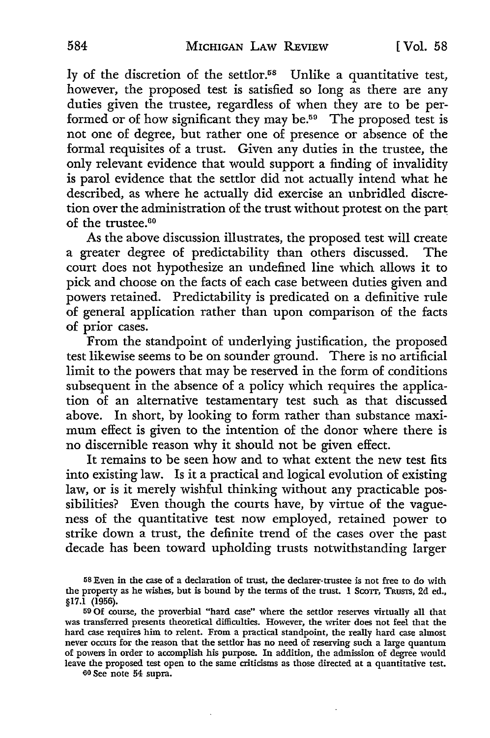ly of the discretion of the settlor.5s Unlike a quantitative test, however, the proposed test is satisfied so long as there are any duties given the trustee, regardless of when they are to be performed or of how significant they may be.<sup>59</sup> The proposed test is not one of degree, but rather one of presence or absence of the formal requisites of a trust. Given any duties in the trustee, the only relevant evidence that would support a finding of invalidity is parol evidence that the settlor did not actually intend what he described, as where he actually did exercise an unbridled discretion over the administration of the trust without protest on the part of the trustee.<sup>60</sup>

As the above discussion illustrates, the proposed test will create a greater degree of predictability than others discussed. The court does not hypothesize an undefined line which allows it to pick and choose on the facts of each case between duties given and powers retained. Predictability is predicated on a definitive rule of general application rather than upon comparison of the facts of prior cases.

From the standpoint of underlying justification, the proposed test likewise seems to be on sounder ground. There is no artificial limit to the powers that may be reserved in the form of conditions subsequent in the absence of a policy which requires the application of an alternative testamentary test such as that discussed above. In short, by looking to form rather than substance maximum effect is given to the intention of the donor where there is no discernible reason why it should not be given effect.

It remains to be seen how and to what extent the new test fits into existing law. Is it a practical and logical evolution of existing law, or is it merely wishful thinking without any practicable possibilities? Even though the courts have, by virtue of the vagueness of the quantitative test now employed, retained power to strike down a trust, the definite trend of the cases over the past decade has been toward upholding trusts notwithstanding larger

**<sup>58</sup>** Even in the case of a declaration of trust, the declarer-trustee is not free to do with the property as he wishes, but is bound **by** the terms of the trust. **1** Scorr, TRUSTS, **2d** ed., §17.1 (1956).

**<sup>59</sup>**Of course, the proverbial "hard case" where the setflor reserves virtually all that was transferred presents theoretical difficulties. However, the writer does not feel that the hard case requires him to relent. From a practical standpoint, the really hard case almost never occurs for the reason that the settlor has no need of reserving such a large quantum of powers in order to accomplish his purpose. In addition, the admission of degree would leave the proposed test open to the same criticisms as those directed at a quantitative test.